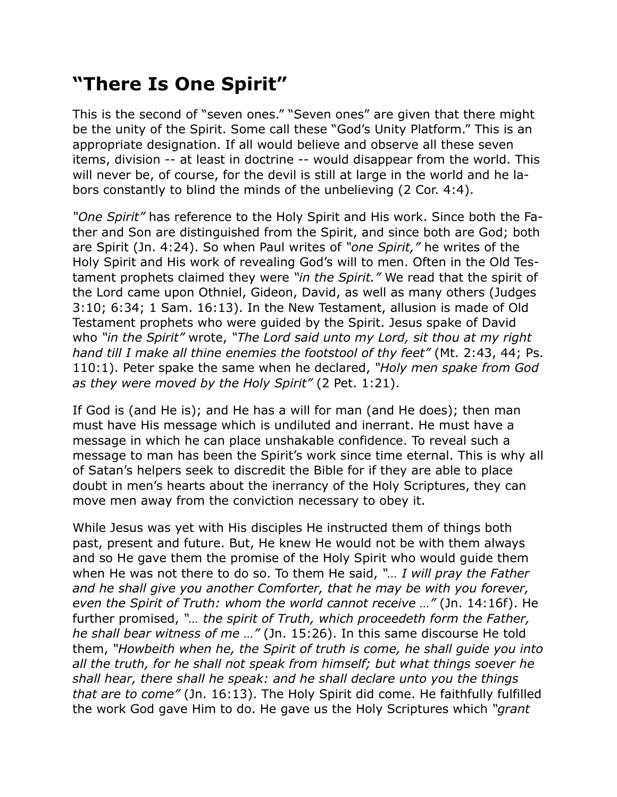## **"There Is One Spirit"**

This is the second of "seven ones." "Seven ones" are given that there might be the unity of the Spirit. Some call these "God's Unity Platform." This is an appropriate designation. If all would believe and observe all these seven items, division -- at least in doctrine -- would disappear from the world. This will never be, of course, for the devil is still at large in the world and he labors constantly to blind the minds of the unbelieving (2 Cor. 4:4).

*"One Spirit"* has reference to the Holy Spirit and His work. Since both the Father and Son are distinguished from the Spirit, and since both are God; both are Spirit (Jn. 4:24). So when Paul writes of *"one Spirit,"* he writes of the Holy Spirit and His work of revealing God's will to men. Often in the Old Testament prophets claimed they were *"in the Spirit."* We read that the spirit of the Lord came upon Othniel, Gideon, David, as well as many others (Judges 3:10; 6:34; 1 Sam. 16:13). In the New Testament, allusion is made of Old Testament prophets who were guided by the Spirit. Jesus spake of David who *"in the Spirit"* wrote, *"The Lord said unto my Lord, sit thou at my right hand till I make all thine enemies the footstool of thy feet"* (Mt. 2:43, 44; Ps. 110:1). Peter spake the same when he declared, *"Holy men spake from God as they were moved by the Holy Spirit"* (2 Pet. 1:21).

If God is (and He is); and He has a will for man (and He does); then man must have His message which is undiluted and inerrant. He must have a message in which he can place unshakable confidence. To reveal such a message to man has been the Spirit's work since time eternal. This is why all of Satan's helpers seek to discredit the Bible for if they are able to place doubt in men's hearts about the inerrancy of the Holy Scriptures, they can move men away from the conviction necessary to obey it.

While Jesus was yet with His disciples He instructed them of things both past, present and future. But, He knew He would not be with them always and so He gave them the promise of the Holy Spirit who would guide them when He was not there to do so. To them He said, *"… I will pray the Father and he shall give you another Comforter, that he may be with you forever, even the Spirit of Truth: whom the world cannot receive …"* (Jn. 14:16f). He further promised, *"… the spirit of Truth, which proceedeth form the Father, he shall bear witness of me …"* (Jn. 15:26). In this same discourse He told them, *"Howbeith when he, the Spirit of truth is come, he shall guide you into all the truth, for he shall not speak from himself; but what things soever he shall hear, there shall he speak: and he shall declare unto you the things that are to come"* (Jn. 16:13). The Holy Spirit did come. He faithfully fulfilled the work God gave Him to do. He gave us the Holy Scriptures which *"grant*